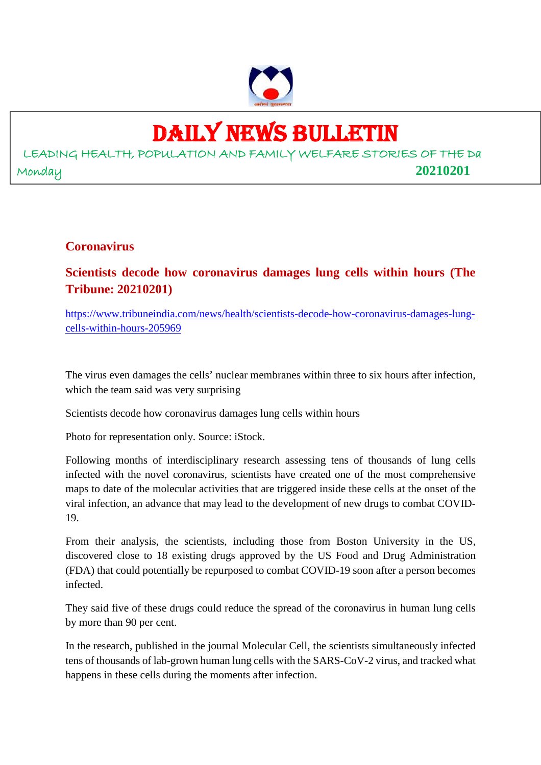

# DAILY NEWS BULLETIN

LEADING HEALTH, POPULATION AND FAMILY WELFARE STORIES OF THE Da Monday **20210201**

#### **Coronavirus**

**Scientists decode how coronavirus damages lung cells within hours (The Tribune: 20210201)**

https://www.tribuneindia.com/news/health/scientists-decode-how-coronavirus-damages-lungcells-within-hours-205969

The virus even damages the cells' nuclear membranes within three to six hours after infection, which the team said was very surprising

Scientists decode how coronavirus damages lung cells within hours

Photo for representation only. Source: iStock.

Following months of interdisciplinary research assessing tens of thousands of lung cells infected with the novel coronavirus, scientists have created one of the most comprehensive maps to date of the molecular activities that are triggered inside these cells at the onset of the viral infection, an advance that may lead to the development of new drugs to combat COVID-19.

From their analysis, the scientists, including those from Boston University in the US, discovered close to 18 existing drugs approved by the US Food and Drug Administration (FDA) that could potentially be repurposed to combat COVID-19 soon after a person becomes infected.

They said five of these drugs could reduce the spread of the coronavirus in human lung cells by more than 90 per cent.

In the research, published in the journal Molecular Cell, the scientists simultaneously infected tens of thousands of lab-grown human lung cells with the SARS-CoV-2 virus, and tracked what happens in these cells during the moments after infection.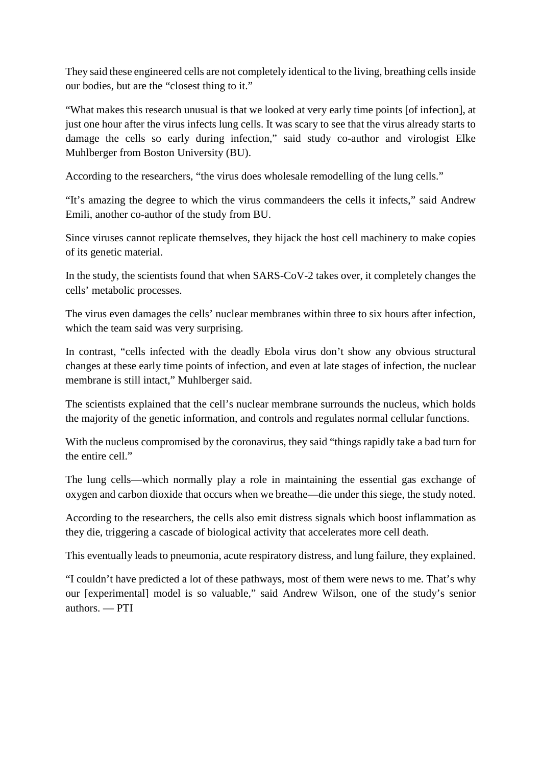They said these engineered cells are not completely identical to the living, breathing cells inside our bodies, but are the "closest thing to it."

"What makes this research unusual is that we looked at very early time points [of infection], at just one hour after the virus infects lung cells. It was scary to see that the virus already starts to damage the cells so early during infection," said study co-author and virologist Elke Muhlberger from Boston University (BU).

According to the researchers, "the virus does wholesale remodelling of the lung cells."

"It's amazing the degree to which the virus commandeers the cells it infects," said Andrew Emili, another co-author of the study from BU.

Since viruses cannot replicate themselves, they hijack the host cell machinery to make copies of its genetic material.

In the study, the scientists found that when SARS-CoV-2 takes over, it completely changes the cells' metabolic processes.

The virus even damages the cells' nuclear membranes within three to six hours after infection, which the team said was very surprising.

In contrast, "cells infected with the deadly Ebola virus don't show any obvious structural changes at these early time points of infection, and even at late stages of infection, the nuclear membrane is still intact," Muhlberger said.

The scientists explained that the cell's nuclear membrane surrounds the nucleus, which holds the majority of the genetic information, and controls and regulates normal cellular functions.

With the nucleus compromised by the coronavirus, they said "things rapidly take a bad turn for the entire cell."

The lung cells—which normally play a role in maintaining the essential gas exchange of oxygen and carbon dioxide that occurs when we breathe—die under this siege, the study noted.

According to the researchers, the cells also emit distress signals which boost inflammation as they die, triggering a cascade of biological activity that accelerates more cell death.

This eventually leads to pneumonia, acute respiratory distress, and lung failure, they explained.

"I couldn't have predicted a lot of these pathways, most of them were news to me. That's why our [experimental] model is so valuable," said Andrew Wilson, one of the study's senior authors. — PTI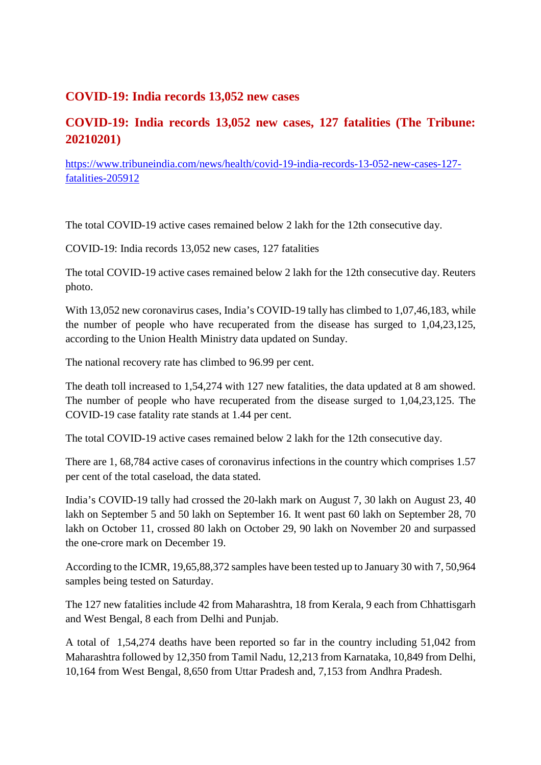#### **COVID-19: India records 13,052 new cases**

### **COVID-19: India records 13,052 new cases, 127 fatalities (The Tribune: 20210201)**

https://www.tribuneindia.com/news/health/covid-19-india-records-13-052-new-cases-127 fatalities-205912

The total COVID-19 active cases remained below 2 lakh for the 12th consecutive day.

COVID-19: India records 13,052 new cases, 127 fatalities

The total COVID-19 active cases remained below 2 lakh for the 12th consecutive day. Reuters photo.

With 13,052 new coronavirus cases, India's COVID-19 tally has climbed to 1,07,46,183, while the number of people who have recuperated from the disease has surged to 1,04,23,125, according to the Union Health Ministry data updated on Sunday.

The national recovery rate has climbed to 96.99 per cent.

The death toll increased to 1,54,274 with 127 new fatalities, the data updated at 8 am showed. The number of people who have recuperated from the disease surged to 1,04,23,125. The COVID-19 case fatality rate stands at 1.44 per cent.

The total COVID-19 active cases remained below 2 lakh for the 12th consecutive day.

There are 1, 68,784 active cases of coronavirus infections in the country which comprises 1.57 per cent of the total caseload, the data stated.

India's COVID-19 tally had crossed the 20-lakh mark on August 7, 30 lakh on August 23, 40 lakh on September 5 and 50 lakh on September 16. It went past 60 lakh on September 28, 70 lakh on October 11, crossed 80 lakh on October 29, 90 lakh on November 20 and surpassed the one-crore mark on December 19.

According to the ICMR, 19,65,88,372 samples have been tested up to January 30 with 7, 50,964 samples being tested on Saturday.

The 127 new fatalities include 42 from Maharashtra, 18 from Kerala, 9 each from Chhattisgarh and West Bengal, 8 each from Delhi and Punjab.

A total of 1,54,274 deaths have been reported so far in the country including 51,042 from Maharashtra followed by 12,350 from Tamil Nadu, 12,213 from Karnataka, 10,849 from Delhi, 10,164 from West Bengal, 8,650 from Uttar Pradesh and, 7,153 from Andhra Pradesh.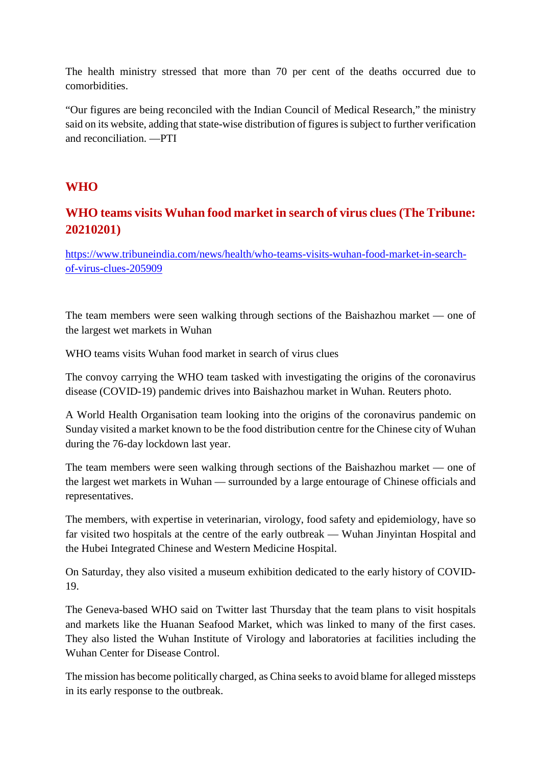The health ministry stressed that more than 70 per cent of the deaths occurred due to comorbidities.

"Our figures are being reconciled with the Indian Council of Medical Research," the ministry said on its website, adding that state-wise distribution of figures is subject to further verification and reconciliation. —PTI

#### **WHO**

# **WHO teams visits Wuhan food market in search of virus clues (The Tribune: 20210201)**

https://www.tribuneindia.com/news/health/who-teams-visits-wuhan-food-market-in-searchof-virus-clues-205909

The team members were seen walking through sections of the Baishazhou market — one of the largest wet markets in Wuhan

WHO teams visits Wuhan food market in search of virus clues

The convoy carrying the WHO team tasked with investigating the origins of the coronavirus disease (COVID-19) pandemic drives into Baishazhou market in Wuhan. Reuters photo.

A World Health Organisation team looking into the origins of the coronavirus pandemic on Sunday visited a market known to be the food distribution centre for the Chinese city of Wuhan during the 76-day lockdown last year.

The team members were seen walking through sections of the Baishazhou market — one of the largest wet markets in Wuhan — surrounded by a large entourage of Chinese officials and representatives.

The members, with expertise in veterinarian, virology, food safety and epidemiology, have so far visited two hospitals at the centre of the early outbreak — Wuhan Jinyintan Hospital and the Hubei Integrated Chinese and Western Medicine Hospital.

On Saturday, they also visited a museum exhibition dedicated to the early history of COVID-19.

The Geneva-based WHO said on Twitter last Thursday that the team plans to visit hospitals and markets like the Huanan Seafood Market, which was linked to many of the first cases. They also listed the Wuhan Institute of Virology and laboratories at facilities including the Wuhan Center for Disease Control.

The mission has become politically charged, as China seeks to avoid blame for alleged missteps in its early response to the outbreak.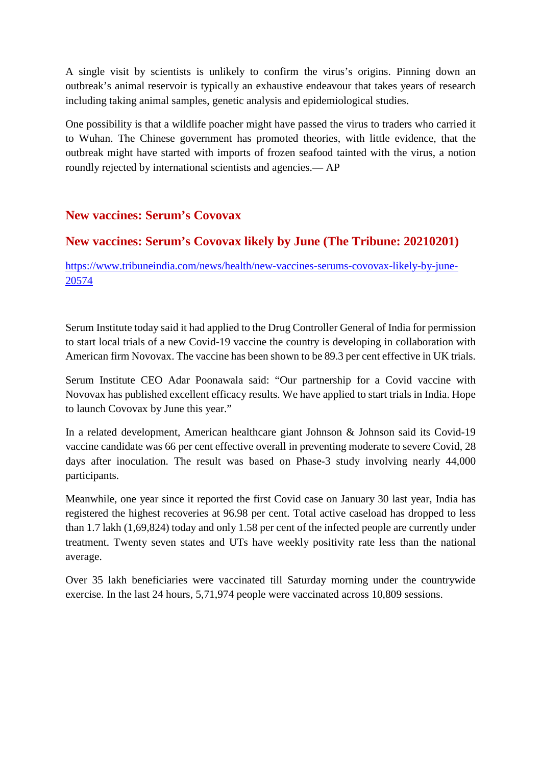A single visit by scientists is unlikely to confirm the virus's origins. Pinning down an outbreak's animal reservoir is typically an exhaustive endeavour that takes years of research including taking animal samples, genetic analysis and epidemiological studies.

One possibility is that a wildlife poacher might have passed the virus to traders who carried it to Wuhan. The Chinese government has promoted theories, with little evidence, that the outbreak might have started with imports of frozen seafood tainted with the virus, a notion roundly rejected by international scientists and agencies.— AP

#### **New vaccines: Serum's Covovax**

#### **New vaccines: Serum's Covovax likely by June (The Tribune: 20210201)**

https://www.tribuneindia.com/news/health/new-vaccines-serums-covovax-likely-by-june-20574

Serum Institute today said it had applied to the Drug Controller General of India for permission to start local trials of a new Covid-19 vaccine the country is developing in collaboration with American firm Novovax. The vaccine has been shown to be 89.3 per cent effective in UK trials.

Serum Institute CEO Adar Poonawala said: "Our partnership for a Covid vaccine with Novovax has published excellent efficacy results. We have applied to start trials in India. Hope to launch Covovax by June this year."

In a related development, American healthcare giant Johnson & Johnson said its Covid-19 vaccine candidate was 66 per cent effective overall in preventing moderate to severe Covid, 28 days after inoculation. The result was based on Phase-3 study involving nearly 44,000 participants.

Meanwhile, one year since it reported the first Covid case on January 30 last year, India has registered the highest recoveries at 96.98 per cent. Total active caseload has dropped to less than 1.7 lakh (1,69,824) today and only 1.58 per cent of the infected people are currently under treatment. Twenty seven states and UTs have weekly positivity rate less than the national average.

Over 35 lakh beneficiaries were vaccinated till Saturday morning under the countrywide exercise. In the last 24 hours, 5,71,974 people were vaccinated across 10,809 sessions.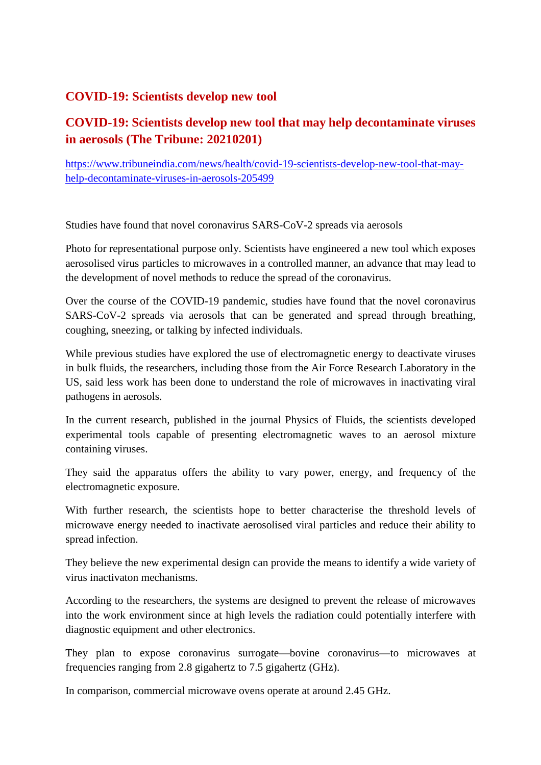#### **COVID-19: Scientists develop new tool**

# **COVID-19: Scientists develop new tool that may help decontaminate viruses in aerosols (The Tribune: 20210201)**

https://www.tribuneindia.com/news/health/covid-19-scientists-develop-new-tool-that-mayhelp-decontaminate-viruses-in-aerosols-205499

Studies have found that novel coronavirus SARS-CoV-2 spreads via aerosols

Photo for representational purpose only. Scientists have engineered a new tool which exposes aerosolised virus particles to microwaves in a controlled manner, an advance that may lead to the development of novel methods to reduce the spread of the coronavirus.

Over the course of the COVID-19 pandemic, studies have found that the novel coronavirus SARS-CoV-2 spreads via aerosols that can be generated and spread through breathing, coughing, sneezing, or talking by infected individuals.

While previous studies have explored the use of electromagnetic energy to deactivate viruses in bulk fluids, the researchers, including those from the Air Force Research Laboratory in the US, said less work has been done to understand the role of microwaves in inactivating viral pathogens in aerosols.

In the current research, published in the journal Physics of Fluids, the scientists developed experimental tools capable of presenting electromagnetic waves to an aerosol mixture containing viruses.

They said the apparatus offers the ability to vary power, energy, and frequency of the electromagnetic exposure.

With further research, the scientists hope to better characterise the threshold levels of microwave energy needed to inactivate aerosolised viral particles and reduce their ability to spread infection.

They believe the new experimental design can provide the means to identify a wide variety of virus inactivaton mechanisms.

According to the researchers, the systems are designed to prevent the release of microwaves into the work environment since at high levels the radiation could potentially interfere with diagnostic equipment and other electronics.

They plan to expose coronavirus surrogate—bovine coronavirus—to microwaves at frequencies ranging from 2.8 gigahertz to 7.5 gigahertz (GHz).

In comparison, commercial microwave ovens operate at around 2.45 GHz.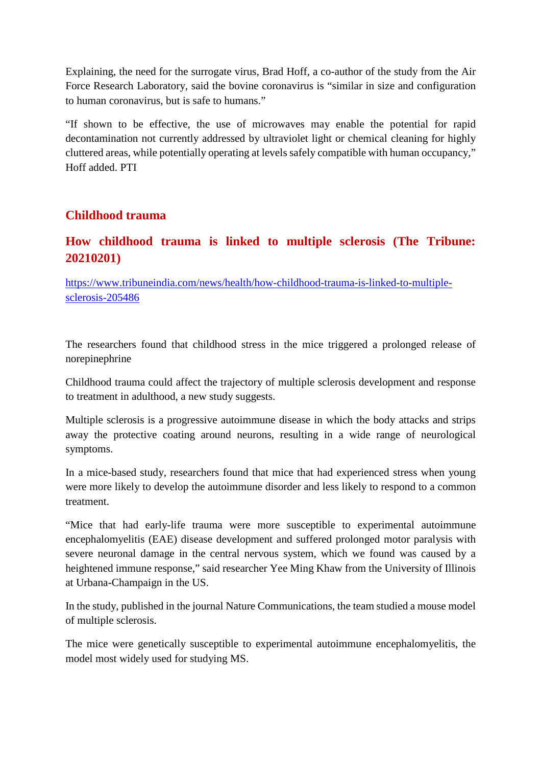Explaining, the need for the surrogate virus, Brad Hoff, a co-author of the study from the Air Force Research Laboratory, said the bovine coronavirus is "similar in size and configuration to human coronavirus, but is safe to humans."

"If shown to be effective, the use of microwaves may enable the potential for rapid decontamination not currently addressed by ultraviolet light or chemical cleaning for highly cluttered areas, while potentially operating at levels safely compatible with human occupancy," Hoff added. PTI

#### **Childhood trauma**

#### **How childhood trauma is linked to multiple sclerosis (The Tribune: 20210201)**

https://www.tribuneindia.com/news/health/how-childhood-trauma-is-linked-to-multiplesclerosis-205486

The researchers found that childhood stress in the mice triggered a prolonged release of norepinephrine

Childhood trauma could affect the trajectory of multiple sclerosis development and response to treatment in adulthood, a new study suggests.

Multiple sclerosis is a progressive autoimmune disease in which the body attacks and strips away the protective coating around neurons, resulting in a wide range of neurological symptoms.

In a mice-based study, researchers found that mice that had experienced stress when young were more likely to develop the autoimmune disorder and less likely to respond to a common treatment.

"Mice that had early-life trauma were more susceptible to experimental autoimmune encephalomyelitis (EAE) disease development and suffered prolonged motor paralysis with severe neuronal damage in the central nervous system, which we found was caused by a heightened immune response," said researcher Yee Ming Khaw from the University of Illinois at Urbana-Champaign in the US.

In the study, published in the journal Nature Communications, the team studied a mouse model of multiple sclerosis.

The mice were genetically susceptible to experimental autoimmune encephalomyelitis, the model most widely used for studying MS.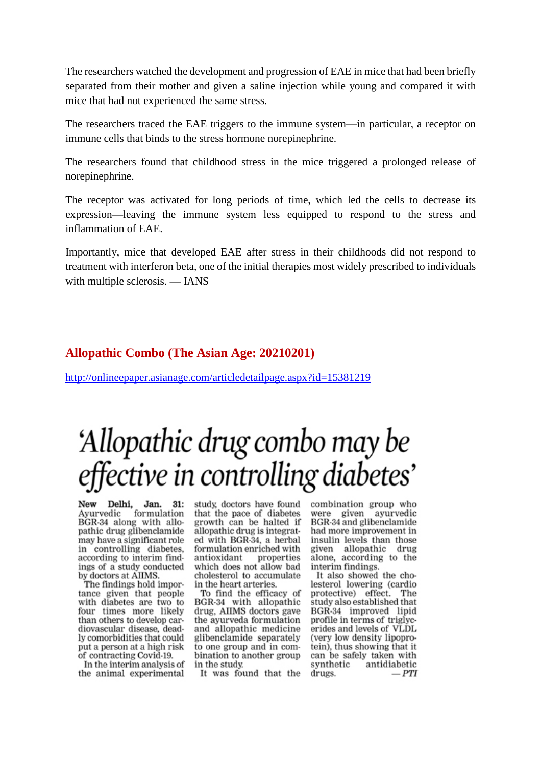The researchers watched the development and progression of EAE in mice that had been briefly separated from their mother and given a saline injection while young and compared it with mice that had not experienced the same stress.

The researchers traced the EAE triggers to the immune system—in particular, a receptor on immune cells that binds to the stress hormone norepinephrine.

The researchers found that childhood stress in the mice triggered a prolonged release of norepinephrine.

The receptor was activated for long periods of time, which led the cells to decrease its expression—leaving the immune system less equipped to respond to the stress and inflammation of EAE.

Importantly, mice that developed EAE after stress in their childhoods did not respond to treatment with interferon beta, one of the initial therapies most widely prescribed to individuals with multiple sclerosis. — IANS

#### **Allopathic Combo (The Asian Age: 20210201)**

http://onlineepaper.asianage.com/articledetailpage.aspx?id=15381219

# 'Allopathic drug combo may be effective in controlling diabetes'

Delhi, Jan. 31:<br>edic formulation New Avurvedic BGR-34 along with allopathic drug glibenclamide may have a significant role in controlling diabetes. according to interim findings of a study conducted by doctors at AIIMS.

The findings hold importance given that people with diabetes are two to four times more likely than others to develop cardiovascular disease, deadly comorbidities that could put a person at a high risk of contracting Covid-19.

In the interim analysis of the animal experimental study, doctors have found that the pace of diabetes growth can be halted if allopathic drug is integrated with BGR-34, a herbal formulation enriched with antioxidant properties which does not allow bad cholesterol to accumulate in the heart arteries.

To find the efficacy of BGR-34 with allopathic drug, AIIMS doctors gave the ayurveda formulation and allopathic medicine glibenclamide separately to one group and in combination to another group in the study.

It was found that the

combination group who given avurvedic were BGR-34 and glibenclamide had more improvement in insulin levels than those given allopathic drug alone, according to the interim findings.

It also showed the cholesterol lowering (cardio protective) effect. The study also established that BGR-34 improved lipid profile in terms of triglycerides and levels of VLDL (very low density lipoprotein), thus showing that it can be safely taken with synthetic antidiabetic drugs.  $-PTI$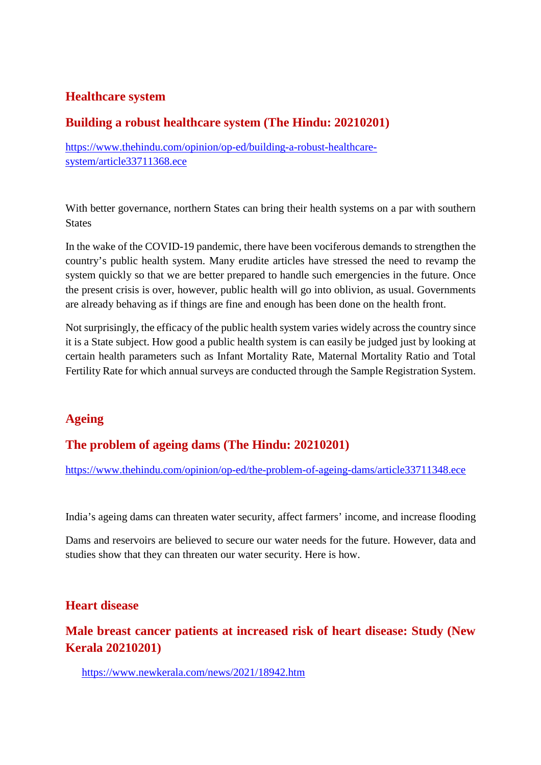#### **Healthcare system**

#### **Building a robust healthcare system (The Hindu: 20210201)**

https://www.thehindu.com/opinion/op-ed/building-a-robust-healthcaresystem/article33711368.ece

With better governance, northern States can bring their health systems on a par with southern **States** 

In the wake of the COVID-19 pandemic, there have been vociferous demands to strengthen the country's public health system. Many erudite articles have stressed the need to revamp the system quickly so that we are better prepared to handle such emergencies in the future. Once the present crisis is over, however, public health will go into oblivion, as usual. Governments are already behaving as if things are fine and enough has been done on the health front.

Not surprisingly, the efficacy of the public health system varies widely across the country since it is a State subject. How good a public health system is can easily be judged just by looking at certain health parameters such as Infant Mortality Rate, Maternal Mortality Ratio and Total Fertility Rate for which annual surveys are conducted through the Sample Registration System.

#### **Ageing**

#### **The problem of ageing dams (The Hindu: 20210201)**

https://www.thehindu.com/opinion/op-ed/the-problem-of-ageing-dams/article33711348.ece

India's ageing dams can threaten water security, affect farmers' income, and increase flooding

Dams and reservoirs are believed to secure our water needs for the future. However, data and studies show that they can threaten our water security. Here is how.

#### **Heart disease**

**Male breast cancer patients at increased risk of heart disease: Study (New Kerala 20210201)**

https://www.newkerala.com/news/2021/18942.htm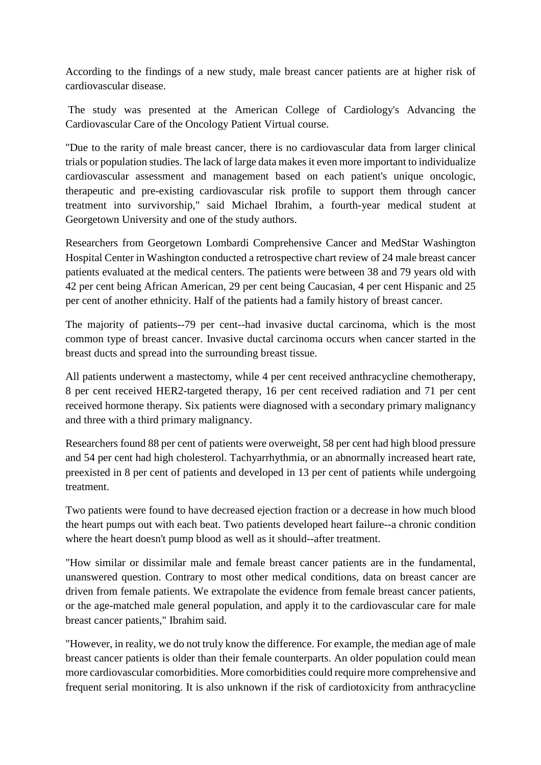According to the findings of a new study, male breast cancer patients are at higher risk of cardiovascular disease.

The study was presented at the American College of Cardiology's Advancing the Cardiovascular Care of the Oncology Patient Virtual course.

"Due to the rarity of male breast cancer, there is no cardiovascular data from larger clinical trials or population studies. The lack of large data makes it even more important to individualize cardiovascular assessment and management based on each patient's unique oncologic, therapeutic and pre-existing cardiovascular risk profile to support them through cancer treatment into survivorship," said Michael Ibrahim, a fourth-year medical student at Georgetown University and one of the study authors.

Researchers from Georgetown Lombardi Comprehensive Cancer and MedStar Washington Hospital Center in Washington conducted a retrospective chart review of 24 male breast cancer patients evaluated at the medical centers. The patients were between 38 and 79 years old with 42 per cent being African American, 29 per cent being Caucasian, 4 per cent Hispanic and 25 per cent of another ethnicity. Half of the patients had a family history of breast cancer.

The majority of patients--79 per cent--had invasive ductal carcinoma, which is the most common type of breast cancer. Invasive ductal carcinoma occurs when cancer started in the breast ducts and spread into the surrounding breast tissue.

All patients underwent a mastectomy, while 4 per cent received anthracycline chemotherapy, 8 per cent received HER2-targeted therapy, 16 per cent received radiation and 71 per cent received hormone therapy. Six patients were diagnosed with a secondary primary malignancy and three with a third primary malignancy.

Researchers found 88 per cent of patients were overweight, 58 per cent had high blood pressure and 54 per cent had high cholesterol. Tachyarrhythmia, or an abnormally increased heart rate, preexisted in 8 per cent of patients and developed in 13 per cent of patients while undergoing treatment.

Two patients were found to have decreased ejection fraction or a decrease in how much blood the heart pumps out with each beat. Two patients developed heart failure--a chronic condition where the heart doesn't pump blood as well as it should--after treatment.

"How similar or dissimilar male and female breast cancer patients are in the fundamental, unanswered question. Contrary to most other medical conditions, data on breast cancer are driven from female patients. We extrapolate the evidence from female breast cancer patients, or the age-matched male general population, and apply it to the cardiovascular care for male breast cancer patients," Ibrahim said.

"However, in reality, we do not truly know the difference. For example, the median age of male breast cancer patients is older than their female counterparts. An older population could mean more cardiovascular comorbidities. More comorbidities could require more comprehensive and frequent serial monitoring. It is also unknown if the risk of cardiotoxicity from anthracycline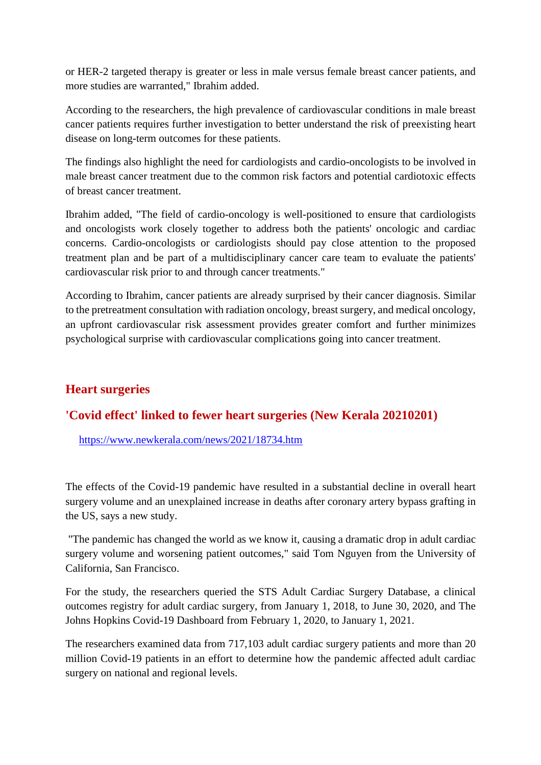or HER-2 targeted therapy is greater or less in male versus female breast cancer patients, and more studies are warranted," Ibrahim added.

According to the researchers, the high prevalence of cardiovascular conditions in male breast cancer patients requires further investigation to better understand the risk of preexisting heart disease on long-term outcomes for these patients.

The findings also highlight the need for cardiologists and cardio-oncologists to be involved in male breast cancer treatment due to the common risk factors and potential cardiotoxic effects of breast cancer treatment.

Ibrahim added, "The field of cardio-oncology is well-positioned to ensure that cardiologists and oncologists work closely together to address both the patients' oncologic and cardiac concerns. Cardio-oncologists or cardiologists should pay close attention to the proposed treatment plan and be part of a multidisciplinary cancer care team to evaluate the patients' cardiovascular risk prior to and through cancer treatments."

According to Ibrahim, cancer patients are already surprised by their cancer diagnosis. Similar to the pretreatment consultation with radiation oncology, breast surgery, and medical oncology, an upfront cardiovascular risk assessment provides greater comfort and further minimizes psychological surprise with cardiovascular complications going into cancer treatment.

#### **Heart surgeries**

#### **'Covid effect' linked to fewer heart surgeries (New Kerala 20210201)**

https://www.newkerala.com/news/2021/18734.htm

The effects of the Covid-19 pandemic have resulted in a substantial decline in overall heart surgery volume and an unexplained increase in deaths after coronary artery bypass grafting in the US, says a new study.

"The pandemic has changed the world as we know it, causing a dramatic drop in adult cardiac surgery volume and worsening patient outcomes," said Tom Nguyen from the University of California, San Francisco.

For the study, the researchers queried the STS Adult Cardiac Surgery Database, a clinical outcomes registry for adult cardiac surgery, from January 1, 2018, to June 30, 2020, and The Johns Hopkins Covid-19 Dashboard from February 1, 2020, to January 1, 2021.

The researchers examined data from 717,103 adult cardiac surgery patients and more than 20 million Covid-19 patients in an effort to determine how the pandemic affected adult cardiac surgery on national and regional levels.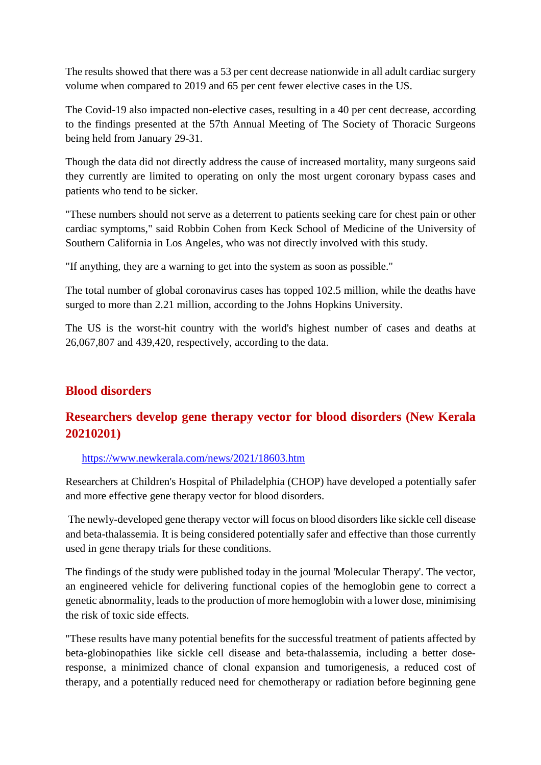The results showed that there was a 53 per cent decrease nationwide in all adult cardiac surgery volume when compared to 2019 and 65 per cent fewer elective cases in the US.

The Covid-19 also impacted non-elective cases, resulting in a 40 per cent decrease, according to the findings presented at the 57th Annual Meeting of The Society of Thoracic Surgeons being held from January 29-31.

Though the data did not directly address the cause of increased mortality, many surgeons said they currently are limited to operating on only the most urgent coronary bypass cases and patients who tend to be sicker.

"These numbers should not serve as a deterrent to patients seeking care for chest pain or other cardiac symptoms," said Robbin Cohen from Keck School of Medicine of the University of Southern California in Los Angeles, who was not directly involved with this study.

"If anything, they are a warning to get into the system as soon as possible."

The total number of global coronavirus cases has topped 102.5 million, while the deaths have surged to more than 2.21 million, according to the Johns Hopkins University.

The US is the worst-hit country with the world's highest number of cases and deaths at 26,067,807 and 439,420, respectively, according to the data.

#### **Blood disorders**

# **Researchers develop gene therapy vector for blood disorders (New Kerala 20210201)**

#### https://www.newkerala.com/news/2021/18603.htm

Researchers at Children's Hospital of Philadelphia (CHOP) have developed a potentially safer and more effective gene therapy vector for blood disorders.

The newly-developed gene therapy vector will focus on blood disorders like sickle cell disease and beta-thalassemia. It is being considered potentially safer and effective than those currently used in gene therapy trials for these conditions.

The findings of the study were published today in the journal 'Molecular Therapy'. The vector, an engineered vehicle for delivering functional copies of the hemoglobin gene to correct a genetic abnormality, leads to the production of more hemoglobin with a lower dose, minimising the risk of toxic side effects.

"These results have many potential benefits for the successful treatment of patients affected by beta-globinopathies like sickle cell disease and beta-thalassemia, including a better doseresponse, a minimized chance of clonal expansion and tumorigenesis, a reduced cost of therapy, and a potentially reduced need for chemotherapy or radiation before beginning gene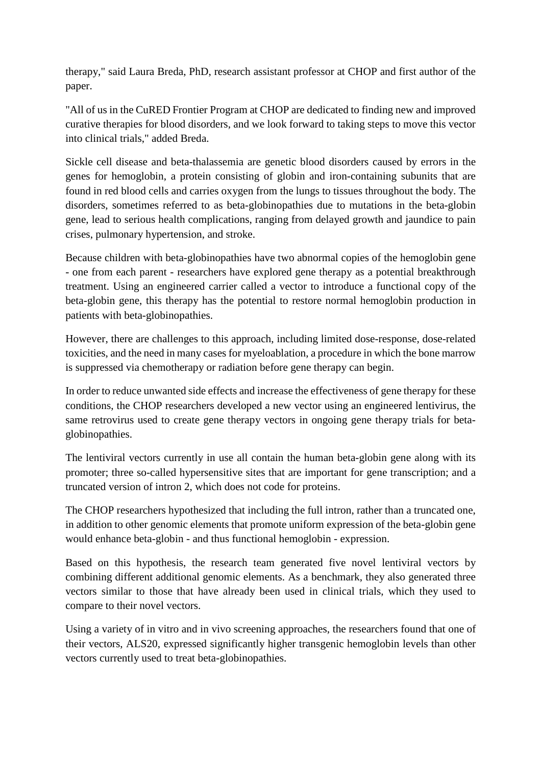therapy," said Laura Breda, PhD, research assistant professor at CHOP and first author of the paper.

"All of us in the CuRED Frontier Program at CHOP are dedicated to finding new and improved curative therapies for blood disorders, and we look forward to taking steps to move this vector into clinical trials," added Breda.

Sickle cell disease and beta-thalassemia are genetic blood disorders caused by errors in the genes for hemoglobin, a protein consisting of globin and iron-containing subunits that are found in red blood cells and carries oxygen from the lungs to tissues throughout the body. The disorders, sometimes referred to as beta-globinopathies due to mutations in the beta-globin gene, lead to serious health complications, ranging from delayed growth and jaundice to pain crises, pulmonary hypertension, and stroke.

Because children with beta-globinopathies have two abnormal copies of the hemoglobin gene - one from each parent - researchers have explored gene therapy as a potential breakthrough treatment. Using an engineered carrier called a vector to introduce a functional copy of the beta-globin gene, this therapy has the potential to restore normal hemoglobin production in patients with beta-globinopathies.

However, there are challenges to this approach, including limited dose-response, dose-related toxicities, and the need in many cases for myeloablation, a procedure in which the bone marrow is suppressed via chemotherapy or radiation before gene therapy can begin.

In order to reduce unwanted side effects and increase the effectiveness of gene therapy for these conditions, the CHOP researchers developed a new vector using an engineered lentivirus, the same retrovirus used to create gene therapy vectors in ongoing gene therapy trials for betaglobinopathies.

The lentiviral vectors currently in use all contain the human beta-globin gene along with its promoter; three so-called hypersensitive sites that are important for gene transcription; and a truncated version of intron 2, which does not code for proteins.

The CHOP researchers hypothesized that including the full intron, rather than a truncated one, in addition to other genomic elements that promote uniform expression of the beta-globin gene would enhance beta-globin - and thus functional hemoglobin - expression.

Based on this hypothesis, the research team generated five novel lentiviral vectors by combining different additional genomic elements. As a benchmark, they also generated three vectors similar to those that have already been used in clinical trials, which they used to compare to their novel vectors.

Using a variety of in vitro and in vivo screening approaches, the researchers found that one of their vectors, ALS20, expressed significantly higher transgenic hemoglobin levels than other vectors currently used to treat beta-globinopathies.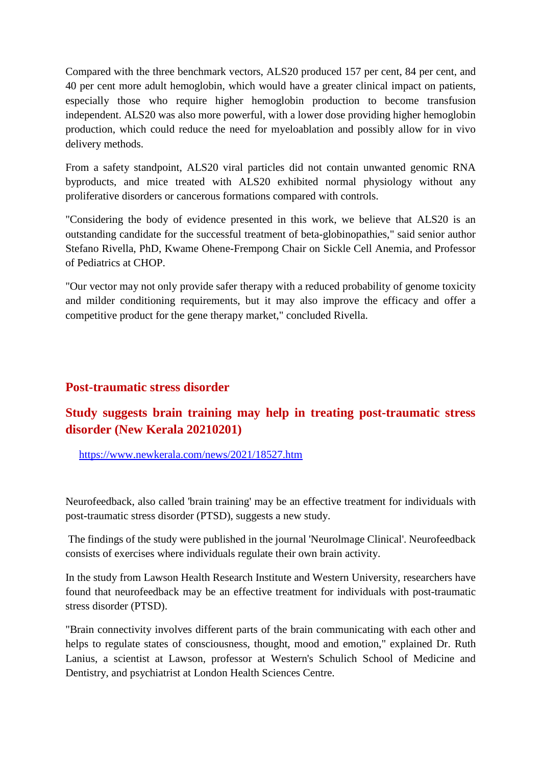Compared with the three benchmark vectors, ALS20 produced 157 per cent, 84 per cent, and 40 per cent more adult hemoglobin, which would have a greater clinical impact on patients, especially those who require higher hemoglobin production to become transfusion independent. ALS20 was also more powerful, with a lower dose providing higher hemoglobin production, which could reduce the need for myeloablation and possibly allow for in vivo delivery methods.

From a safety standpoint, ALS20 viral particles did not contain unwanted genomic RNA byproducts, and mice treated with ALS20 exhibited normal physiology without any proliferative disorders or cancerous formations compared with controls.

"Considering the body of evidence presented in this work, we believe that ALS20 is an outstanding candidate for the successful treatment of beta-globinopathies," said senior author Stefano Rivella, PhD, Kwame Ohene-Frempong Chair on Sickle Cell Anemia, and Professor of Pediatrics at CHOP.

"Our vector may not only provide safer therapy with a reduced probability of genome toxicity and milder conditioning requirements, but it may also improve the efficacy and offer a competitive product for the gene therapy market," concluded Rivella.

#### **Post-traumatic stress disorder**

# **Study suggests brain training may help in treating post-traumatic stress disorder (New Kerala 20210201)**

https://www.newkerala.com/news/2021/18527.htm

Neurofeedback, also called 'brain training' may be an effective treatment for individuals with post-traumatic stress disorder (PTSD), suggests a new study.

The findings of the study were published in the journal 'Neurolmage Clinical'. Neurofeedback consists of exercises where individuals regulate their own brain activity.

In the study from Lawson Health Research Institute and Western University, researchers have found that neurofeedback may be an effective treatment for individuals with post-traumatic stress disorder (PTSD).

"Brain connectivity involves different parts of the brain communicating with each other and helps to regulate states of consciousness, thought, mood and emotion," explained Dr. Ruth Lanius, a scientist at Lawson, professor at Western's Schulich School of Medicine and Dentistry, and psychiatrist at London Health Sciences Centre.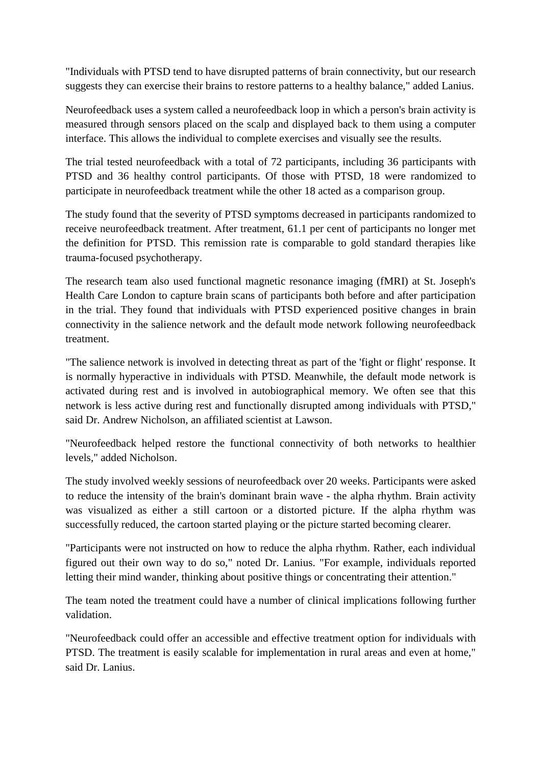"Individuals with PTSD tend to have disrupted patterns of brain connectivity, but our research suggests they can exercise their brains to restore patterns to a healthy balance," added Lanius.

Neurofeedback uses a system called a neurofeedback loop in which a person's brain activity is measured through sensors placed on the scalp and displayed back to them using a computer interface. This allows the individual to complete exercises and visually see the results.

The trial tested neurofeedback with a total of 72 participants, including 36 participants with PTSD and 36 healthy control participants. Of those with PTSD, 18 were randomized to participate in neurofeedback treatment while the other 18 acted as a comparison group.

The study found that the severity of PTSD symptoms decreased in participants randomized to receive neurofeedback treatment. After treatment, 61.1 per cent of participants no longer met the definition for PTSD. This remission rate is comparable to gold standard therapies like trauma-focused psychotherapy.

The research team also used functional magnetic resonance imaging (fMRI) at St. Joseph's Health Care London to capture brain scans of participants both before and after participation in the trial. They found that individuals with PTSD experienced positive changes in brain connectivity in the salience network and the default mode network following neurofeedback treatment.

"The salience network is involved in detecting threat as part of the 'fight or flight' response. It is normally hyperactive in individuals with PTSD. Meanwhile, the default mode network is activated during rest and is involved in autobiographical memory. We often see that this network is less active during rest and functionally disrupted among individuals with PTSD," said Dr. Andrew Nicholson, an affiliated scientist at Lawson.

"Neurofeedback helped restore the functional connectivity of both networks to healthier levels," added Nicholson.

The study involved weekly sessions of neurofeedback over 20 weeks. Participants were asked to reduce the intensity of the brain's dominant brain wave - the alpha rhythm. Brain activity was visualized as either a still cartoon or a distorted picture. If the alpha rhythm was successfully reduced, the cartoon started playing or the picture started becoming clearer.

"Participants were not instructed on how to reduce the alpha rhythm. Rather, each individual figured out their own way to do so," noted Dr. Lanius. "For example, individuals reported letting their mind wander, thinking about positive things or concentrating their attention."

The team noted the treatment could have a number of clinical implications following further validation.

"Neurofeedback could offer an accessible and effective treatment option for individuals with PTSD. The treatment is easily scalable for implementation in rural areas and even at home," said Dr. Lanius.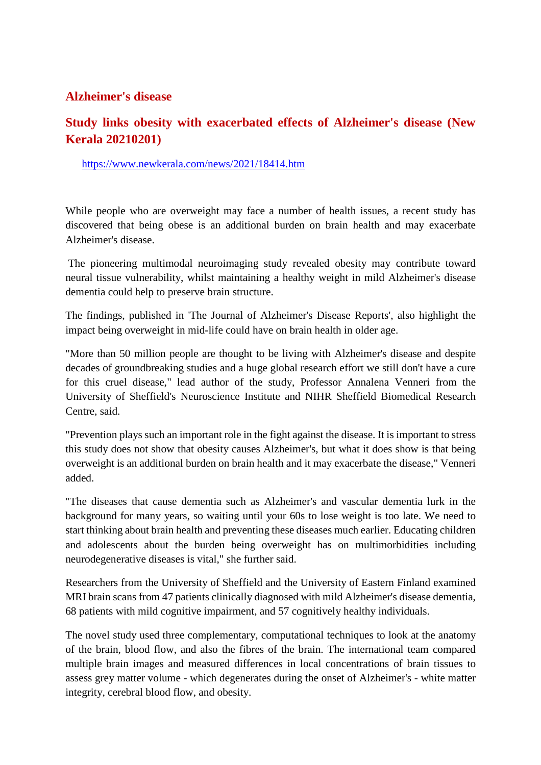#### **Alzheimer's disease**

# **Study links obesity with exacerbated effects of Alzheimer's disease (New Kerala 20210201)**

https://www.newkerala.com/news/2021/18414.htm

While people who are overweight may face a number of health issues, a recent study has discovered that being obese is an additional burden on brain health and may exacerbate Alzheimer's disease.

The pioneering multimodal neuroimaging study revealed obesity may contribute toward neural tissue vulnerability, whilst maintaining a healthy weight in mild Alzheimer's disease dementia could help to preserve brain structure.

The findings, published in 'The Journal of Alzheimer's Disease Reports', also highlight the impact being overweight in mid-life could have on brain health in older age.

"More than 50 million people are thought to be living with Alzheimer's disease and despite decades of groundbreaking studies and a huge global research effort we still don't have a cure for this cruel disease," lead author of the study, Professor Annalena Venneri from the University of Sheffield's Neuroscience Institute and NIHR Sheffield Biomedical Research Centre, said.

"Prevention plays such an important role in the fight against the disease. It is important to stress this study does not show that obesity causes Alzheimer's, but what it does show is that being overweight is an additional burden on brain health and it may exacerbate the disease," Venneri added.

"The diseases that cause dementia such as Alzheimer's and vascular dementia lurk in the background for many years, so waiting until your 60s to lose weight is too late. We need to start thinking about brain health and preventing these diseases much earlier. Educating children and adolescents about the burden being overweight has on multimorbidities including neurodegenerative diseases is vital," she further said.

Researchers from the University of Sheffield and the University of Eastern Finland examined MRI brain scans from 47 patients clinically diagnosed with mild Alzheimer's disease dementia, 68 patients with mild cognitive impairment, and 57 cognitively healthy individuals.

The novel study used three complementary, computational techniques to look at the anatomy of the brain, blood flow, and also the fibres of the brain. The international team compared multiple brain images and measured differences in local concentrations of brain tissues to assess grey matter volume - which degenerates during the onset of Alzheimer's - white matter integrity, cerebral blood flow, and obesity.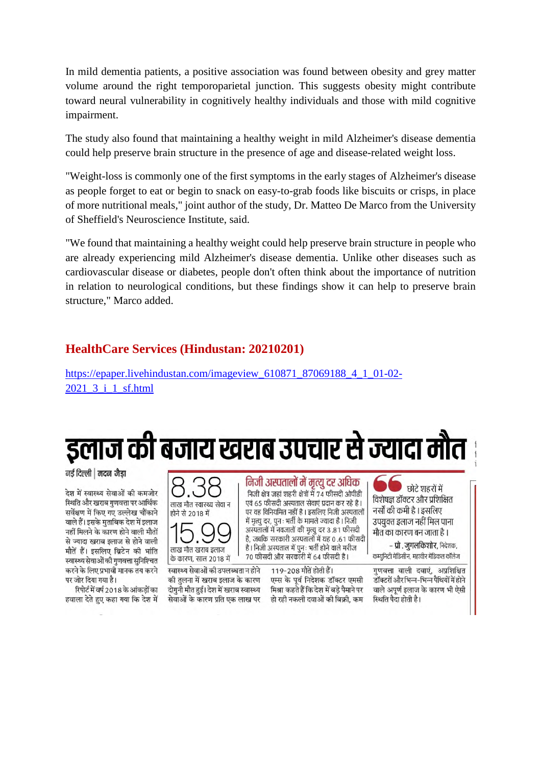In mild dementia patients, a positive association was found between obesity and grey matter volume around the right temporoparietal junction. This suggests obesity might contribute toward neural vulnerability in cognitively healthy individuals and those with mild cognitive impairment.

The study also found that maintaining a healthy weight in mild Alzheimer's disease dementia could help preserve brain structure in the presence of age and disease-related weight loss.

"Weight-loss is commonly one of the first symptoms in the early stages of Alzheimer's disease as people forget to eat or begin to snack on easy-to-grab foods like biscuits or crisps, in place of more nutritional meals," joint author of the study, Dr. Matteo De Marco from the University of Sheffield's Neuroscience Institute, said.

"We found that maintaining a healthy weight could help preserve brain structure in people who are already experiencing mild Alzheimer's disease dementia. Unlike other diseases such as cardiovascular disease or diabetes, people don't often think about the importance of nutrition in relation to neurological conditions, but these findings show it can help to preserve brain structure," Marco added.

#### **HealthCare Services (Hindustan: 20210201)**

https://epaper.livehindustan.com/imageview\_610871\_87069188\_4\_1\_01-02-2021\_3\_i\_1\_sf.html

इलाज की बजाय खराब उपचार से ज्यादा मौत

नई दिल्ली | मदन जैडा

देश में स्वास्थ्य सेवाओं की कमजोर स्थिति और खराब गुणवत्ता पर आर्थिक सर्वेक्षण में किए गए उल्लेख चौंकाने वाले हैं। इसके मुताबिक देश में इलाज नहीं मिलने के कारण होने वाली मौतों से ज्यादा खराब इलाज से होने वाली मौतें हैं। इसलिए ब्रिटेन की भांति स्वास्थ्य सेवाओं की गणवत्ता सुनिश्चित करने के लिए प्रभावी मानक तय करने पर जोर दिया गया है।

रिपोर्ट में वर्ष 2018 के आंकडों का हवाला देते हुए कहा गया कि देश में



लाख मौत खराब इलाज के कारण, साल 2018 में स्वास्थ्य सेवाओं की उपलब्धता न होने

की तलना में खराब इलाज के कारण दोगुनी मौत हुई। देश में खराब स्वास्थ्य

निजी अस्पतालों में मृत्यु दर अधिक निजी क्षेत्र जहां शहरी क्षेत्रों में 74 फीसदी ओपीडी एवं 65 फीसदी अस्पताल सेवाएं प्रदान कर रहे है। पर वह विनियमित नहीं है। इसलिए निजी अस्पतालों में मृत्यू दर, पून : भर्ती के मामले ज्यादा है । निजी अस्पतालों में नवजातों की मृत्यू दर 3.81 फीसदी है. जबकि सरकारी अस्पतालों में यह 0 .61 फीसदी है। निजी अस्पताल में पुनः भर्ती होने वाले मरीज 70 फीसदी और सरकारी में 64 फीसदी है।

119-208 मौतें होती हैं। एम्स के पूर्व निदेशक डॉक्टर एमसी मिश्रा कहते हैं कि देश में बडे पैमाने पर सेवाओं के कारण प्रति एक लाख पर हो रही नकली दवाओं की बिक्री, कम

छोटे शहरों में विशेषज्ञ डॉक्टर और प्रशिक्षित नर्सों की कमी है । इसलिए उपयुक्त इलाज नहीं मिल पाना मौत का कारण बन जाता है ।

– प्रो. जुगलकिशोर, निदेशक, कम्युनिटी मेडिसीन, महावीर मेडिकल कॉलेज

गुणवत्ता वाली दवाएं, अप्रशिक्षित डॉक्टरों और भिन्न-भिन्न पैथियों में होने वाले अपूर्ण इलाज के कारण भी ऐसी स्थिति पैदा होती है।